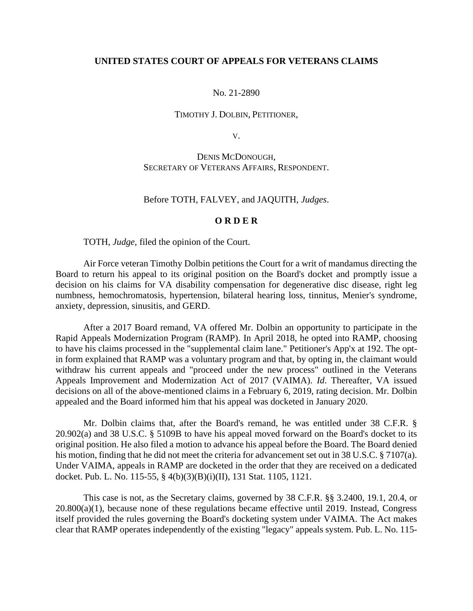# **UNITED STATES COURT OF APPEALS FOR VETERANS CLAIMS**

#### No. 21-2890

# TIMOTHY J. DOLBIN, PETITIONER,

V.

DENIS MCDONOUGH, SECRETARY OF VETERANS AFFAIRS, RESPONDENT.

### Before TOTH, FALVEY, and JAQUITH, *Judges*.

### **O R D E R**

TOTH, *Judge*, filed the opinion of the Court.

Air Force veteran Timothy Dolbin petitions the Court for a writ of mandamus directing the Board to return his appeal to its original position on the Board's docket and promptly issue a decision on his claims for VA disability compensation for degenerative disc disease, right leg numbness, hemochromatosis, hypertension, bilateral hearing loss, tinnitus, Menier's syndrome, anxiety, depression, sinusitis, and GERD.

After a 2017 Board remand, VA offered Mr. Dolbin an opportunity to participate in the Rapid Appeals Modernization Program (RAMP). In April 2018, he opted into RAMP, choosing to have his claims processed in the "supplemental claim lane." Petitioner's App'x at 192. The optin form explained that RAMP was a voluntary program and that, by opting in, the claimant would withdraw his current appeals and "proceed under the new process" outlined in the Veterans Appeals Improvement and Modernization Act of 2017 (VAIMA). *Id*. Thereafter, VA issued decisions on all of the above-mentioned claims in a February 6, 2019, rating decision. Mr. Dolbin appealed and the Board informed him that his appeal was docketed in January 2020.

Mr. Dolbin claims that, after the Board's remand, he was entitled under 38 C.F.R. § 20.902(a) and 38 U.S.C. § 5109B to have his appeal moved forward on the Board's docket to its original position. He also filed a motion to advance his appeal before the Board. The Board denied his motion, finding that he did not meet the criteria for advancement set out in 38 U.S.C. § 7107(a). Under VAIMA, appeals in RAMP are docketed in the order that they are received on a dedicated docket. Pub. L. No. 115-55, § 4(b)(3)(B)(i)(II), 131 Stat. 1105, 1121.

This case is not, as the Secretary claims, governed by 38 C.F.R. §§ 3.2400, 19.1, 20.4, or  $20.800(a)(1)$ , because none of these regulations became effective until 2019. Instead, Congress itself provided the rules governing the Board's docketing system under VAIMA. The Act makes clear that RAMP operates independently of the existing "legacy" appeals system. Pub. L. No. 115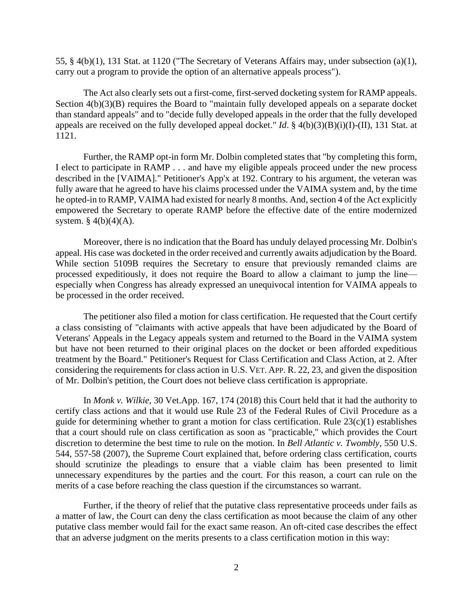55, § 4(b)(1), 131 Stat. at 1120 ("The Secretary of Veterans Affairs may, under subsection (a)(1), carry out a program to provide the option of an alternative appeals process").

The Act also clearly sets out a first-come, first-served docketing system for RAMP appeals. Section  $4(b)(3)(B)$  requires the Board to "maintain fully developed appeals on a separate docket than standard appeals" and to "decide fully developed appeals in the order that the fully developed appeals are received on the fully developed appeal docket." *Id*. § 4(b)(3)(B)(i)(I)-(II), 131 Stat. at 1121.

Further, the RAMP opt-in form Mr. Dolbin completed states that "by completing this form, I elect to participate in RAMP . . . and have my eligible appeals proceed under the new process described in the [VAIMA]." Petitioner's App'x at 192. Contrary to his argument, the veteran was fully aware that he agreed to have his claims processed under the VAIMA system and, by the time he opted-in to RAMP, VAIMA had existed for nearly 8 months. And, section 4 of the Act explicitly empowered the Secretary to operate RAMP before the effective date of the entire modernized system.  $§$  4(b)(4)(A).

Moreover, there is no indication that the Board has unduly delayed processing Mr. Dolbin's appeal. His case was docketed in the order received and currently awaits adjudication by the Board. While section 5109B requires the Secretary to ensure that previously remanded claims are processed expeditiously, it does not require the Board to allow a claimant to jump the line especially when Congress has already expressed an unequivocal intention for VAIMA appeals to be processed in the order received.

The petitioner also filed a motion for class certification. He requested that the Court certify a class consisting of "claimants with active appeals that have been adjudicated by the Board of Veterans' Appeals in the Legacy appeals system and returned to the Board in the VAIMA system but have not been returned to their original places on the docket or been afforded expeditious treatment by the Board." Petitioner's Request for Class Certification and Class Action, at 2. After considering the requirements for class action in U.S. VET. APP. R. 22, 23, and given the disposition of Mr. Dolbin's petition, the Court does not believe class certification is appropriate.

In *Monk v. Wilkie*, 30 Vet.App. 167, 174 (2018) this Court held that it had the authority to certify class actions and that it would use Rule 23 of the Federal Rules of Civil Procedure as a guide for determining whether to grant a motion for class certification. Rule 23(c)(1) establishes that a court should rule on class certification as soon as "practicable," which provides the Court discretion to determine the best time to rule on the motion. In *Bell Atlantic v. Twombly*, 550 U.S. 544, 557-58 (2007), the Supreme Court explained that, before ordering class certification, courts should scrutinize the pleadings to ensure that a viable claim has been presented to limit unnecessary expenditures by the parties and the court. For this reason, a court can rule on the merits of a case before reaching the class question if the circumstances so warrant.

Further, if the theory of relief that the putative class representative proceeds under fails as a matter of law, the Court can deny the class certification as moot because the claim of any other putative class member would fail for the exact same reason. An oft-cited case describes the effect that an adverse judgment on the merits presents to a class certification motion in this way: